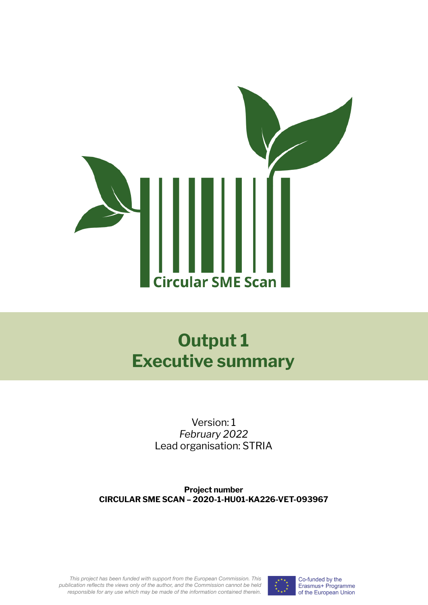

# **Output 1 Executive summary**

Version: 1 *February 2022* Lead organisation: STRIA

**Project number CIRCULAR SME SCAN – 2020-1-HU01-KA226-VET-093967**

*This project has been funded with support from the European Commission. This publication reflects the views only of the author, and the Commission cannot be held responsible for any use which may be made of the information contained therein.*



Co-funded by the Erasmus+ Programme of the European Union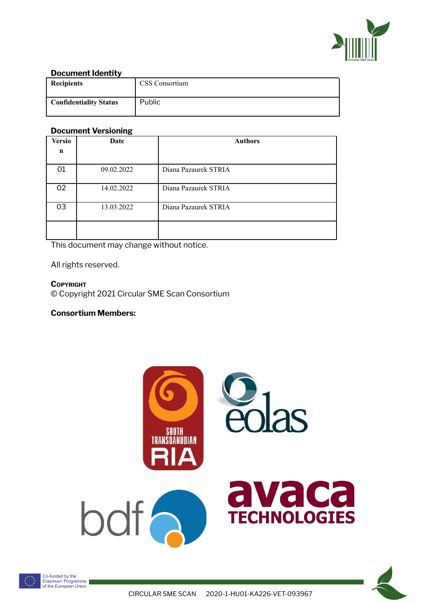

## **Document Identity**

| <b>Recipients</b>             | CSS Consortium |
|-------------------------------|----------------|
| <b>Confidentiality Status</b> | Public         |

#### **Document Versioning**

| <b>Versio</b> | Date       | <b>Authors</b>       |
|---------------|------------|----------------------|
| n             |            |                      |
| 01            | 09.02.2022 | Diana Pazaurek STRIA |
| 02            | 14.02.2022 | Diana Pazaurek STRIA |
| 03            | 13.03.2022 | Diana Pazaurek STRIA |
|               |            |                      |

This document may change without notice.

All rights reserved.

**COPYRIGHT** © Copyright 2021 Circular SME Scan Consortium

## **Consortium Members:**





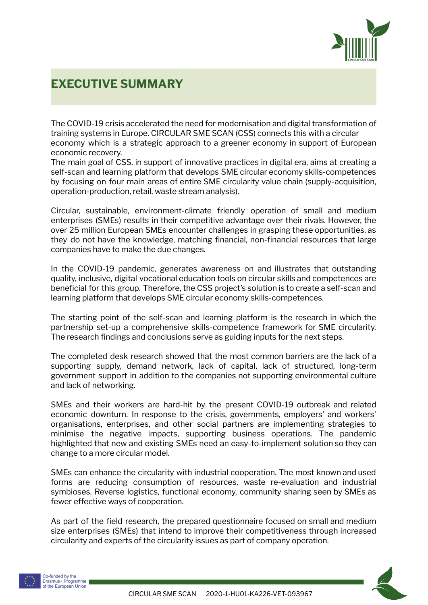

# **EXECUTIVE SUMMARY**

The COVID-19 crisis accelerated the need for modernisation and digital transformation of training systems in Europe. CIRCULAR SME SCAN (CSS) connects this with a circular economy which is a strategic approach to a greener economy in support of European economic recovery.

The main goal of CSS, in support of innovative practices in digital era, aims at creating a self-scan and learning platform that develops SME circular economy skills-competences by focusing on four main areas of entire SME circularity value chain (supply-acquisition, operation-production, retail, waste stream analysis).

Circular, sustainable, environment-climate friendly operation of small and medium enterprises (SMEs) results in their competitive advantage over their rivals. However, the over 25 million European SMEs encounter challenges in grasping these opportunities, as they do not have the knowledge, matching financial, non-financial resources that large companies have to make the due changes.

In the COVID-19 pandemic, generates awareness on and illustrates that outstanding quality, inclusive, digital vocational education tools on circular skills and competences are beneficial for this group. Therefore, the CSS project's solution is to create a self-scan and learning platform that develops SME circular economy skills-competences.

The starting point of the self-scan and learning platform is the research in which the partnership set-up a comprehensive skills-competence framework for SME circularity. The research findings and conclusions serve as guiding inputs for the next steps.

The completed desk research showed that the most common barriers are the lack of a supporting supply, demand network, lack of capital, lack of structured, long-term government support in addition to the companies not supporting environmental culture and lack of networking.

SMEs and their workers are hard-hit by the present COVID-19 outbreak and related economic downturn. In response to the crisis, governments, employers' and workers' organisations, enterprises, and other social partners are implementing strategies to minimise the negative impacts, supporting business operations. The pandemic highlighted that new and existing SMEs need an easy-to-implement solution so they can change to a more circular model.

SMEs can enhance the circularity with industrial cooperation. The most known and used forms are reducing consumption of resources, waste re-evaluation and industrial symbioses. Reverse logistics, functional economy, community sharing seen by SMEs as fewer effective ways of cooperation.

As part of the field research, the prepared questionnaire focused on small and medium size enterprises (SMEs) that intend to improve their competitiveness through increased circularity and experts of the circularity issues as part of company operation.



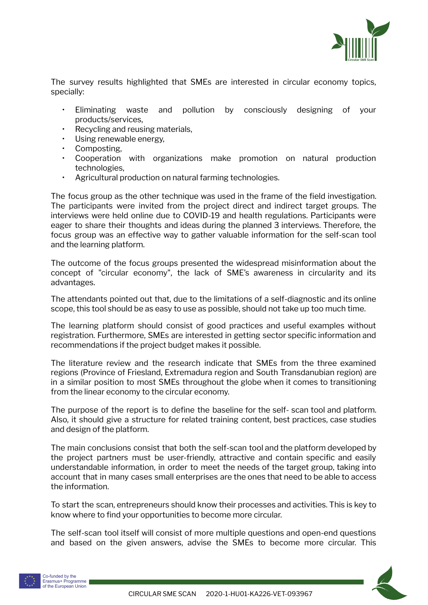

The survey results highlighted that SMEs are interested in circular economy topics, specially:

- Eliminating waste and pollution by consciously designing of your products/services,
- Recycling and reusing materials,
- Using renewable energy,
- Composting.
- Cooperation with organizations make promotion on natural production technologies,
- Agricultural production on natural farming technologies.

The focus group as the other technique was used in the frame of the field investigation. The participants were invited from the project direct and indirect target groups. The interviews were held online due to COVID-19 and health regulations. Participants were eager to share their thoughts and ideas during the planned 3 interviews. Therefore, the focus group was an effective way to gather valuable information for the self-scan tool and the learning platform.

The outcome of the focus groups presented the widespread misinformation about the concept of "circular economy", the lack of SME's awareness in circularity and its advantages.

The attendants pointed out that, due to the limitations of a self-diagnostic and its online scope, this tool should be as easy to use as possible, should not take up too much time.

The learning platform should consist of good practices and useful examples without registration. Furthermore, SMEs are interested in getting sector specific information and recommendations if the project budget makes it possible.

The literature review and the research indicate that SMEs from the three examined regions (Province of Friesland, Extremadura region and South Transdanubian region) are in a similar position to most SMEs throughout the globe when it comes to transitioning from the linear economy to the circular economy.

The purpose of the report is to define the baseline for the self- scan tool and platform. Also, it should give a structure for related training content, best practices, case studies and design of the platform.

The main conclusions consist that both the self-scan tool and the platform developed by the project partners must be user-friendly, attractive and contain specific and easily understandable information, in order to meet the needs of the target group, taking into account that in many cases small enterprises are the ones that need to be able to access the information.

To start the scan, entrepreneurs should know their processes and activities. This is key to know where to find your opportunities to become more circular.

The self-scan tool itself will consist of more multiple questions and open-end questions and based on the given answers, advise the SMEs to become more circular. This